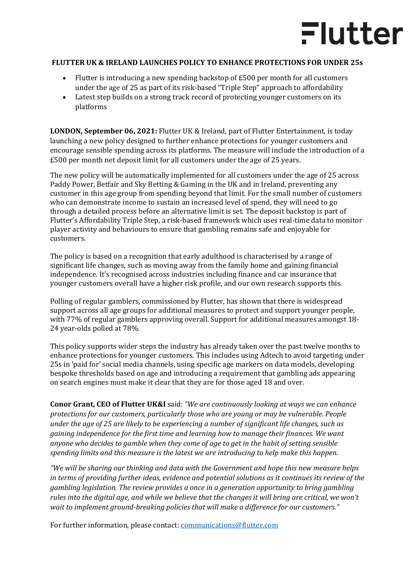## Flutter

## **FLUTTER UK & IRELAND LAUNCHES POLICY TO ENHANCE PROTECTIONS FOR UNDER 25s**

- Flutter is introducing a new spending backstop of  $E_{500}$  per month for all customers under the age of 25 as part of its risk-based "Triple Step" approach to affordability
- Latest step builds on a strong track record of protecting younger customers on its platforms

**LONDON, September 06, 2021:** Flutter UK & Ireland, part of Flutter Entertainment, is today launching a new policy designed to further enhance protections for younger customers and encourage sensible spending across its platforms. The measure will include the introduction of a £500 per month net deposit limit for all customers under the age of 25 years.

The new policy will be automatically implemented for all customers under the age of 25 across Paddy Power, Betfair and Sky Betting & Gaming in the UK and in Ireland, preventing any customer in this age group from spending beyond that limit. For the small number of customers who can demonstrate income to sustain an increased level of spend, they will need to go through a detailed process before an alternative limit is set. The deposit backstop is part of Flutter's Affordability Triple Step, a risk-based framework which uses real-time data to monitor player activity and behaviours to ensure that gambling remains safe and enjoyable for customers.

The policy is based on a recognition that early adulthood is characterised by a range of significant life changes, such as moving away from the family home and gaining financial independence. It's recognised across industries including finance and car insurance that younger customers overall have a higher risk profile, and our own research supports this.

Polling of regular gamblers, commissioned by Flutter, has shown that there is widespread support across all age groups for additional measures to protect and support younger people, with 77% of regular gamblers approving overall. Support for additional measures amongst 18- 24 year-olds polled at 78%.

This policy supports wider steps the industry has already taken over the past twelve months to enhance protections for younger customers. This includes using Adtech to avoid targeting under 25s in 'paid for' social media channels, using specific age markers on data models, developing bespoke thresholds based on age and introducing a requirement that gambling ads appearing on search engines must make it clear that they are for those aged 18 and over.

**Conor Grant, CEO of Flutter UK&I** said: *"We are continuously looking at ways we can enhance protections for our customers, particularly those who are young or may be vulnerable. People under the age of 25 are likely to be experiencing a number of significant life changes, such as gaining independence for the first time and learning how to manage their finances. We want anyone who decides to gamble when they come of age to get in the habit of setting sensible spending limits and this measure is the latest we are introducing to help make this happen.* 

*"We will be sharing our thinking and data with the Government and hope this new measure helps in terms of providing further ideas, evidence and potential solutions as it continues its review of the gambling legislation. The review provides a once in a generation opportunity to bring gambling rules into the digital age, and while we believe that the changes it will bring are critical, we won't wait to implement ground-breaking policies that will make a difference for our customers."* 

For further information, please contact: [communications@flutter.com](mailto:communications@flutter.com)